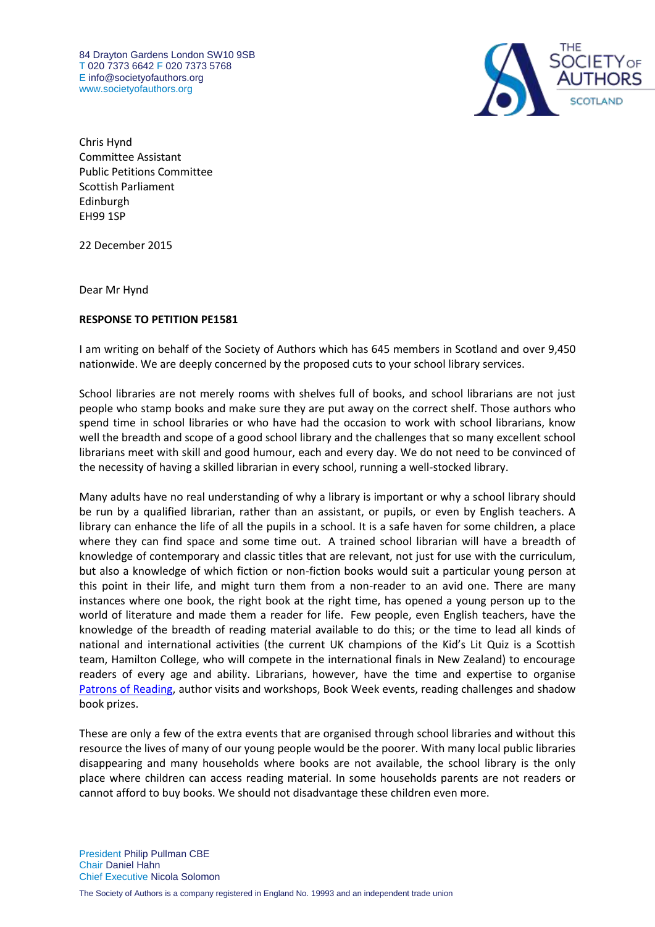84 Drayton Gardens London SW10 9SB T 020 7373 6642 F 020 7373 5768 E [info@societyofauthors.org](mailto:info@societyofauthors.org) [www.societyofauthors.org](http://www.societyofauthors.org/)



Chris Hynd Committee Assistant Public Petitions Committee Scottish Parliament Edinburgh EH99 1SP

22 December 2015

Dear Mr Hynd

## **RESPONSE TO PETITION PE1581**

I am writing on behalf of the Society of Authors which has 645 members in Scotland and over 9,450 nationwide. We are deeply concerned by the proposed cuts to your school library services.

School libraries are not merely rooms with shelves full of books, and school librarians are not just people who stamp books and make sure they are put away on the correct shelf. Those authors who spend time in school libraries or who have had the occasion to work with school librarians, know well the breadth and scope of a good school library and the challenges that so many excellent school librarians meet with skill and good humour, each and every day. We do not need to be convinced of the necessity of having a skilled librarian in every school, running a well-stocked library.

Many adults have no real understanding of why a library is important or why a school library should be run by a qualified librarian, rather than an assistant, or pupils, or even by English teachers. A library can enhance the life of all the pupils in a school. It is a safe haven for some children, a place where they can find space and some time out. A trained school librarian will have a breadth of knowledge of contemporary and classic titles that are relevant, not just for use with the curriculum, but also a knowledge of which fiction or non-fiction books would suit a particular young person at this point in their life, and might turn them from a non-reader to an avid one. There are many instances where one book, the right book at the right time, has opened a young person up to the world of literature and made them a reader for life. Few people, even English teachers, have the knowledge of the breadth of reading material available to do this; or the time to lead all kinds of national and international activities (the current UK champions of the Kid's Lit Quiz is a Scottish team, Hamilton College, who will compete in the international finals in New Zealand) to encourage readers of every age and ability. Librarians, however, have the time and expertise to organise [Patrons of Reading,](http://www.patronofreading.co.uk/) author visits and workshops, Book Week events, reading challenges and shadow book prizes.

These are only a few of the extra events that are organised through school libraries and without this resource the lives of many of our young people would be the poorer. With many local public libraries disappearing and many households where books are not available, the school library is the only place where children can access reading material. In some households parents are not readers or cannot afford to buy books. We should not disadvantage these children even more.